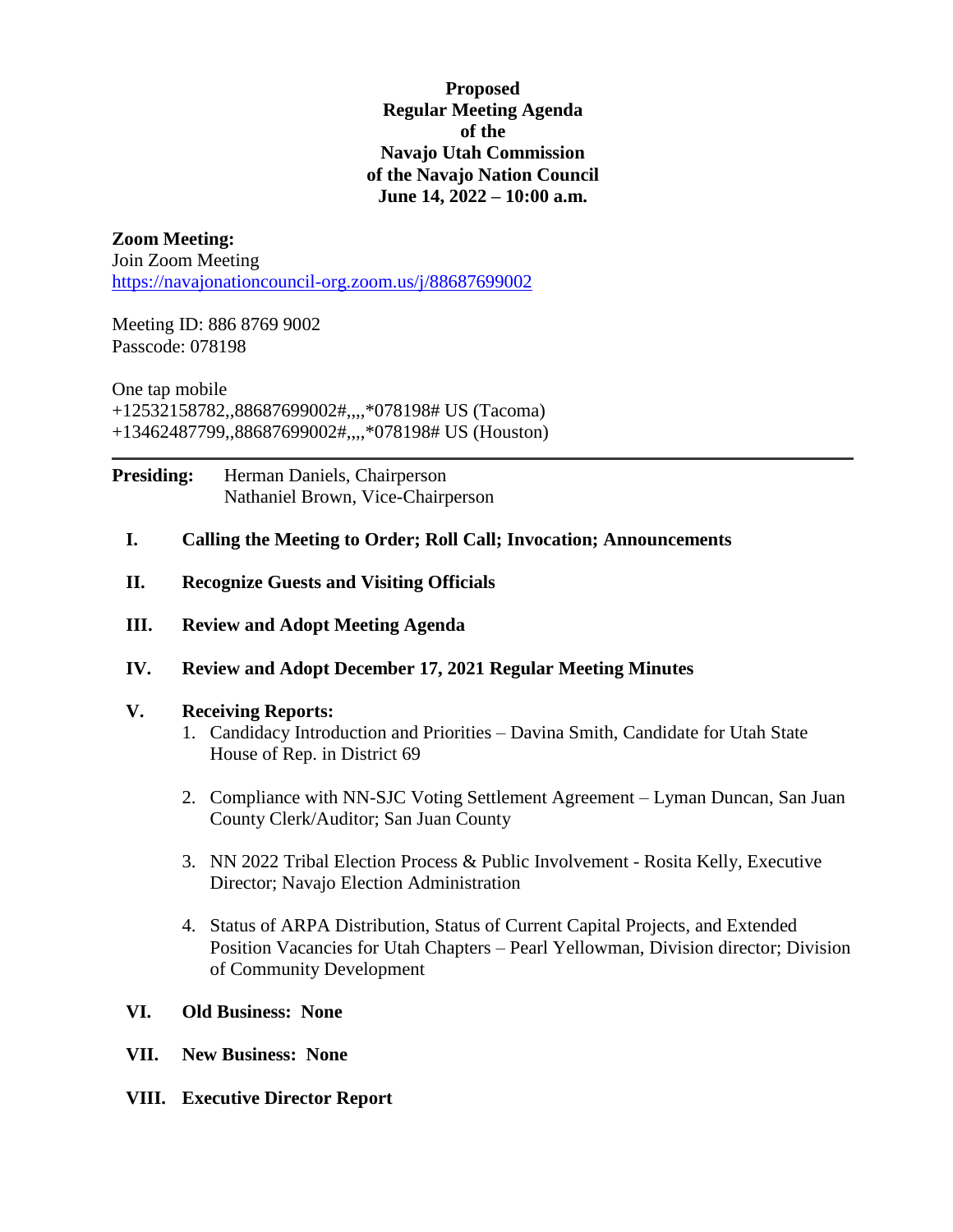**Proposed Regular Meeting Agenda of the Navajo Utah Commission of the Navajo Nation Council June 14, 2022 – 10:00 a.m.**

# **Zoom Meeting:**

Join Zoom Meeting <https://navajonationcouncil-org.zoom.us/j/88687699002>

Meeting ID: 886 8769 9002 Passcode: 078198

One tap mobile +12532158782,,88687699002#,,,,\*078198# US (Tacoma) +13462487799,,88687699002#,,,,\*078198# US (Houston)

**Presiding:** Herman Daniels, Chairperson Nathaniel Brown, Vice-Chairperson

- **I. Calling the Meeting to Order; Roll Call; Invocation; Announcements**
- **II. Recognize Guests and Visiting Officials**
- **III. Review and Adopt Meeting Agenda**
- **IV. Review and Adopt December 17, 2021 Regular Meeting Minutes**

#### **V. Receiving Reports:**

- 1. Candidacy Introduction and Priorities Davina Smith, Candidate for Utah State House of Rep. in District 69
- 2. Compliance with NN-SJC Voting Settlement Agreement Lyman Duncan, San Juan County Clerk/Auditor; San Juan County
- 3. NN 2022 Tribal Election Process & Public Involvement Rosita Kelly, Executive Director; Navajo Election Administration
- 4. Status of ARPA Distribution, Status of Current Capital Projects, and Extended Position Vacancies for Utah Chapters – Pearl Yellowman, Division director; Division of Community Development

### **VI. Old Business: None**

- **VII. New Business: None**
- **VIII. Executive Director Report**